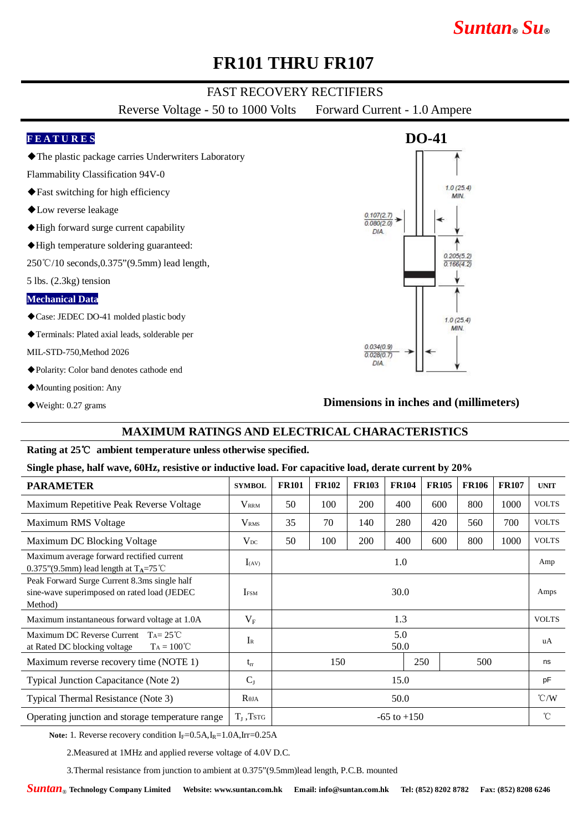# *Suntan***®** *Su***®**

## **FR101 THRU FR107**

### FAST RECOVERY RECTIFIERS

Reverse Voltage - 50 to 1000 Volts Forward Current - 1.0 Ampere

### **F E A T U R E S**

◆The plastic package carries Underwriters Laboratory

Flammability Classification 94V-0

- ◆Fast switching for high efficiency
- ◆Low reverse leakage
- ◆High forward surge current capability
- ◆High temperature soldering guaranteed:

250℃/10 seconds,0.375"(9.5mm) lead length,

5 lbs. (2.3kg) tension

#### **Mechanical Data**

- ◆Case: JEDEC DO-41 molded plastic body
- ◆Terminals: Plated axial leads, solderable per

MIL-STD-750,Method 2026

- ◆Polarity: Color band denotes cathode end
- ◆Mounting position: Any
- ◆Weight: 0.27 grams

# **DO-41**  $1.0(25.4)$ MIN  $0.107(2.7)$  $0.080(2.0)$  $DIA$  $0.205(5.2)$  $0.166(4.2)$  $1.0(25.4)$ **MIN**  $0.034(0.9)$  $0.028(0.7)$  $DIA$

#### **Dimensions in inches and (millimeters)**

### **MAXIMUM RATINGS AND ELECTRICAL CHARACTERISTICS**

#### **Rating at 25**℃ **ambient temperature unless otherwise specified.**

#### **Single phase, half wave, 60Hz, resistive or inductive load. For capacitive load, derate current by 20%**

| <b>PARAMETER</b>                                                                                        | <b>SYMBOL</b>           | <b>FR101</b>    | <b>FR102</b> | <b>FR103</b> | <b>FR104</b> | <b>FR105</b> | <b>FR106</b> | <b>FR107</b> | <b>UNIT</b>   |
|---------------------------------------------------------------------------------------------------------|-------------------------|-----------------|--------------|--------------|--------------|--------------|--------------|--------------|---------------|
| Maximum Repetitive Peak Reverse Voltage                                                                 | <b>V</b> <sub>RRM</sub> | 50              | 100          | <b>200</b>   | 400          | 600          | 800          | 1000         | <b>VOLTS</b>  |
| Maximum RMS Voltage                                                                                     | $\rm V_{RMS}$           | 35              | 70           | 140          | 280          | 420          | 560          | 700          | <b>VOLTS</b>  |
| Maximum DC Blocking Voltage                                                                             | $V_{DC}$                | 50              | 100          | 200          | 400          | 600          | 800          | 1000         | <b>VOLTS</b>  |
| Maximum average forward rectified current<br>0.375"(9.5mm) lead length at $T_A = 75^{\circ}$ C          | $I_{(AV)}$              | 1.0             |              |              |              |              |              |              | Amp           |
| Peak Forward Surge Current 8.3ms single half<br>sine-wave superimposed on rated load (JEDEC)<br>Method) | <b>I</b> <sub>ESM</sub> | 30.0            |              |              |              |              |              |              | Amps          |
| Maximum instantaneous forward voltage at 1.0A                                                           | $V_{\rm F}$             | 1.3             |              |              |              |              |              |              | <b>VOLTS</b>  |
| Maximum DC Reverse Current $T_A = 25^{\circ}C$<br>$Ta = 100^{\circ}C$<br>at Rated DC blocking voltage   | $I_{R}$                 | 5.0<br>50.0     |              |              |              |              |              |              | uA            |
| Maximum reverse recovery time (NOTE 1)                                                                  | $t_{rr}$                | 150             |              |              | 250          | 500          |              | ns           |               |
| Typical Junction Capacitance (Note 2)                                                                   | $C_{J}$                 | 15.0            |              |              |              |              |              |              | pF            |
| Typical Thermal Resistance (Note 3)                                                                     | $R_{\theta JA}$         | 50.0            |              |              |              |              |              |              | $\degree$ C/W |
| Operating junction and storage temperature range                                                        | $T_I$ , Tstg            | $-65$ to $+150$ |              |              |              |              |              |              | °C            |

Note: 1. Reverse recovery condition I<sub>F</sub>=0.5A,I<sub>R</sub>=1.0A,Irr=0.25A

2.Measured at 1MHz and applied reverse voltage of 4.0V D.C.

3.Thermal resistance from junction to ambient at 0.375"(9.5mm)lead length, P.C.B. mounted